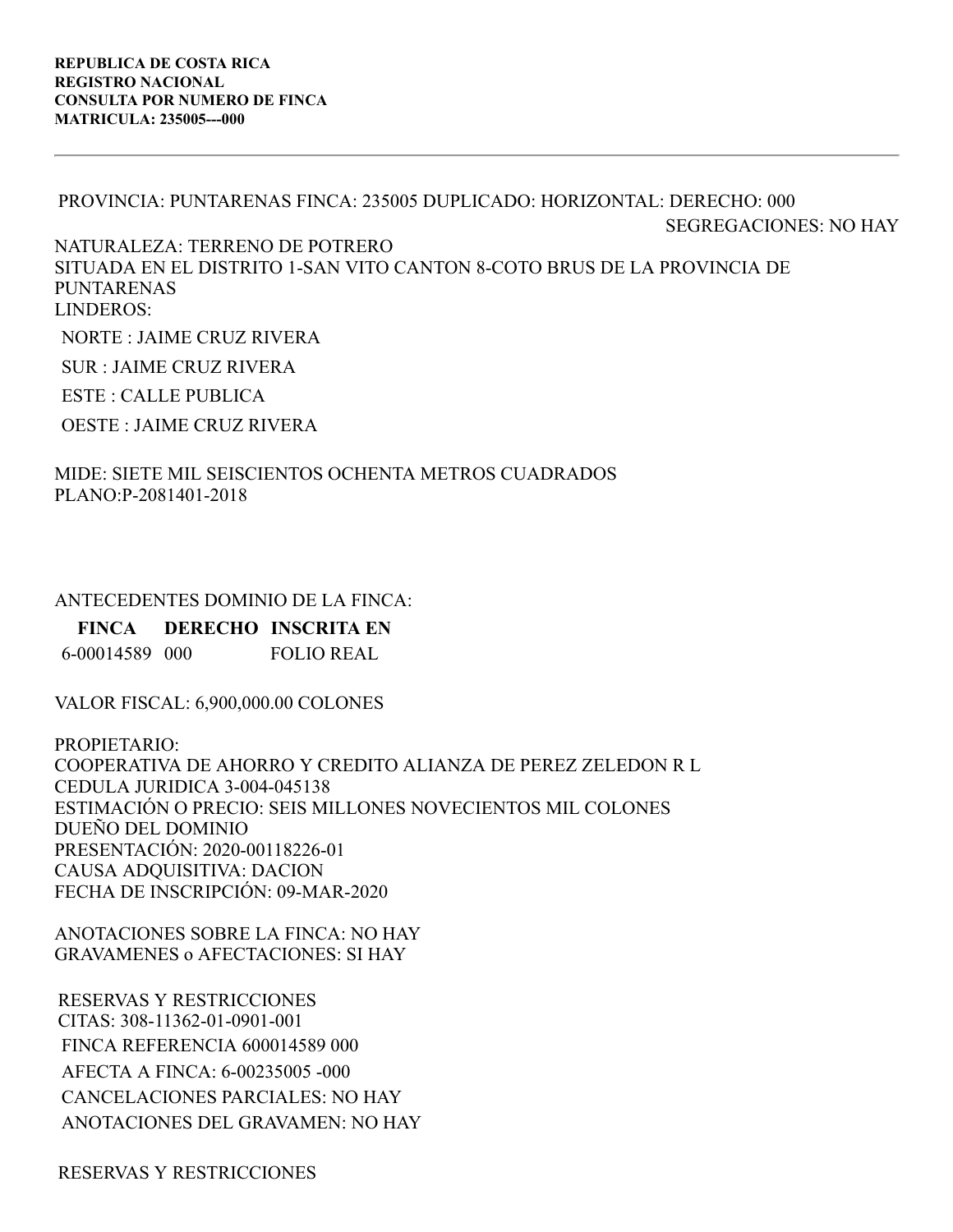## PROVINCIA: PUNTARENAS FINCA: 235005 DUPLICADO: HORIZONTAL: DERECHO: 000 SEGREGACIONES: NO HAY NATURALEZA: TERRENO DE POTRERO SITUADA EN EL DISTRITO 1-SAN VITO CANTON 8-COTO BRUS DE LA PROVINCIA DE PUNTARENAS LINDEROS: NORTE : JAIME CRUZ RIVERA

SUR : JAIME CRUZ RIVERA

ESTE : CALLE PUBLICA

OESTE : JAIME CRUZ RIVERA

## MIDE: SIETE MIL SEISCIENTOS OCHENTA METROS CUADRADOS PLANO:P-2081401-2018

## ANTECEDENTES DOMINIO DE LA FINCA:

**FINCA DERECHO INSCRITA EN**

6-00014589 000 FOLIO REAL

VALOR FISCAL: 6,900,000.00 COLONES

PROPIETARIO: COOPERATIVA DE AHORRO Y CREDITO ALIANZA DE PEREZ ZELEDON R L CEDULA JURIDICA 3-004-045138 ESTIMACIÓN O PRECIO: SEIS MILLONES NOVECIENTOS MIL COLONES DUEÑO DEL DOMINIO PRESENTACIÓN: 2020-00118226-01 CAUSA ADQUISITIVA: DACION FECHA DE INSCRIPCIÓN: 09-MAR-2020

ANOTACIONES SOBRE LA FINCA: NO HAY GRAVAMENES o AFECTACIONES: SI HAY

RESERVAS Y RESTRICCIONES CITAS: 308-11362-01-0901-001 FINCA REFERENCIA 600014589 000 AFECTA A FINCA: 6-00235005 -000 CANCELACIONES PARCIALES: NO HAY ANOTACIONES DEL GRAVAMEN: NO HAY

RESERVAS Y RESTRICCIONES